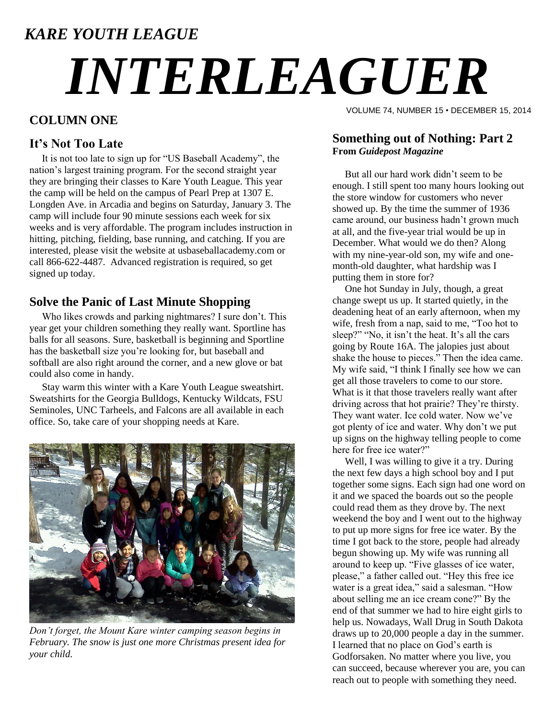# *KARE YOUTH LEAGUE INTERLEAGUER*

### **COLUMN ONE**

#### **It's Not Too Late**

 It is not too late to sign up for "US Baseball Academy", the nation's largest training program. For the second straight year they are bringing their classes to Kare Youth League. This year the camp will be held on the campus of Pearl Prep at 1307 E. Longden Ave. in Arcadia and begins on Saturday, January 3. The camp will include four 90 minute sessions each week for six weeks and is very affordable. The program includes instruction in hitting, pitching, fielding, base running, and catching. If you are interested, please visit the website at usbaseballacademy.com or call 866-622-4487. Advanced registration is required, so get signed up today.

#### **Solve the Panic of Last Minute Shopping**

 Who likes crowds and parking nightmares? I sure don't. This year get your children something they really want. Sportline has balls for all seasons. Sure, basketball is beginning and Sportline has the basketball size you're looking for, but baseball and softball are also right around the corner, and a new glove or bat could also come in handy.

 Stay warm this winter with a Kare Youth League sweatshirt. Sweatshirts for the Georgia Bulldogs, Kentucky Wildcats, FSU Seminoles, UNC Tarheels, and Falcons are all available in each office. So, take care of your shopping needs at Kare.



*Don't forget, the Mount Kare winter camping season begins in February. The snow is just one more Christmas present idea for your child.*

VOLUME 74, NUMBER 15 • DECEMBER 15, 2014

#### **Something out of Nothing: Part 2 From** *Guidepost Magazine*

 But all our hard work didn't seem to be enough. I still spent too many hours looking out the store window for customers who never showed up. By the time the summer of 1936 came around, our business hadn't grown much at all, and the five-year trial would be up in December. What would we do then? Along with my nine-year-old son, my wife and onemonth-old daughter, what hardship was I putting them in store for?

 One hot Sunday in July, though, a great change swept us up. It started quietly, in the deadening heat of an early afternoon, when my wife, fresh from a nap, said to me, "Too hot to sleep?" "No, it isn't the heat. It's all the cars going by Route 16A. The jalopies just about shake the house to pieces." Then the idea came. My wife said, "I think I finally see how we can get all those travelers to come to our store. What is it that those travelers really want after driving across that hot prairie? They're thirsty. They want water. Ice cold water. Now we've got plenty of ice and water. Why don't we put up signs on the highway telling people to come here for free ice water?"

 Well, I was willing to give it a try. During the next few days a high school boy and I put together some signs. Each sign had one word on it and we spaced the boards out so the people could read them as they drove by. The next weekend the boy and I went out to the highway to put up more signs for free ice water. By the time I got back to the store, people had already begun showing up. My wife was running all around to keep up. "Five glasses of ice water, please," a father called out. "Hey this free ice water is a great idea," said a salesman. "How about selling me an ice cream cone?" By the end of that summer we had to hire eight girls to help us. Nowadays, Wall Drug in South Dakota draws up to 20,000 people a day in the summer. I learned that no place on God's earth is Godforsaken. No matter where you live, you can succeed, because wherever you are, you can reach out to people with something they need.